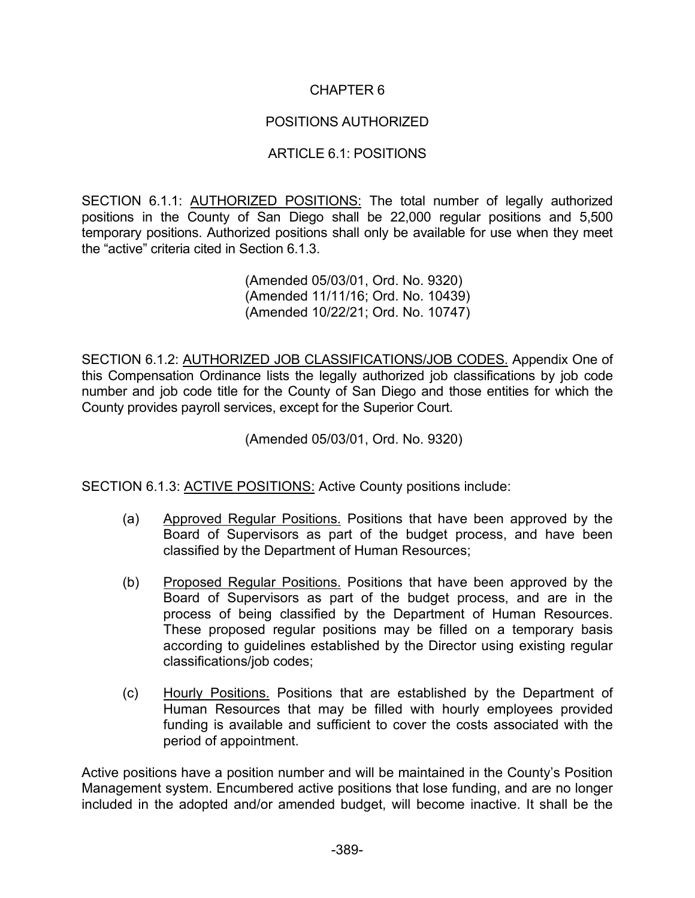## CHAPTER 6

## POSITIONS AUTHORIZED

## ARTICLE 6.1: POSITIONS

SECTION 6.1.1: AUTHORIZED POSITIONS: The total number of legally authorized positions in the County of San Diego shall be 22,000 regular positions and 5,500 temporary positions. Authorized positions shall only be available for use when they meet the "active" criteria cited in Section 6.1.3.

> (Amended 05/03/01, Ord. No. 9320) (Amended 11/11/16; Ord. No. 10439) (Amended 10/22/21; Ord. No. 10747)

SECTION 6.1.2: AUTHORIZED JOB CLASSIFICATIONS/JOB CODES. Appendix One of this Compensation Ordinance lists the legally authorized job classifications by job code number and job code title for the County of San Diego and those entities for which the County provides payroll services, except for the Superior Court.

(Amended 05/03/01, Ord. No. 9320)

SECTION 6.1.3: ACTIVE POSITIONS: Active County positions include:

- (a) Approved Regular Positions. Positions that have been approved by the Board of Supervisors as part of the budget process, and have been classified by the Department of Human Resources;
- (b) Proposed Regular Positions. Positions that have been approved by the Board of Supervisors as part of the budget process, and are in the process of being classified by the Department of Human Resources. These proposed regular positions may be filled on a temporary basis according to guidelines established by the Director using existing regular classifications/job codes;
- (c) Hourly Positions. Positions that are established by the Department of Human Resources that may be filled with hourly employees provided funding is available and sufficient to cover the costs associated with the period of appointment.

Active positions have a position number and will be maintained in the County's Position Management system. Encumbered active positions that lose funding, and are no longer included in the adopted and/or amended budget, will become inactive. It shall be the